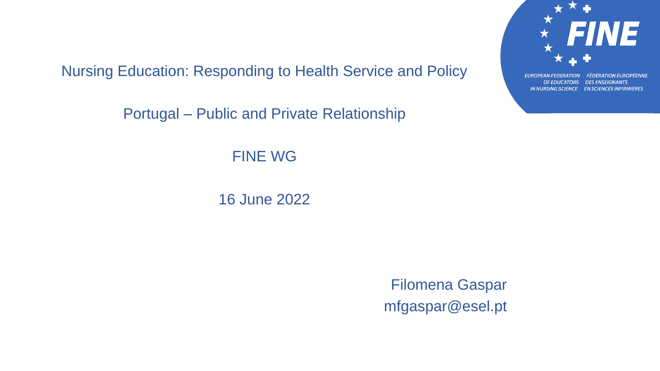Nursing Education: Responding to Health Service and Policy

Portugal – Public and Private Relationship

FINE WG

16 June 2022

Filomena Gaspar mfgaspar@esel.pt



IN NURSING SCIENCE EN SCIENCES INFIRMIÈRES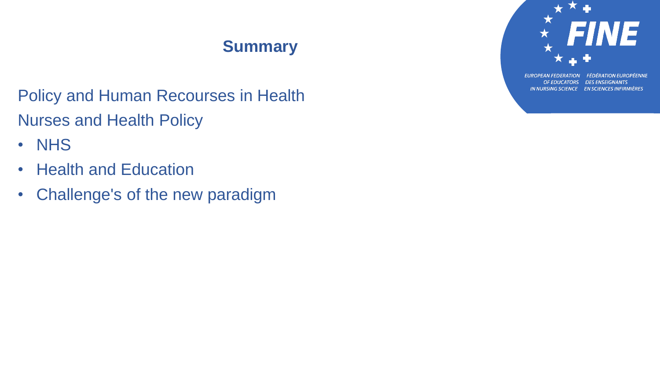# **Summary**

Policy and Human Recourses in Health Nurses and Health Policy

- NHS
- Health and Education
- Challenge's of the new paradigm



**FÉDÉRATION EUROPÉENNE EUROPEAN FEDERATION** OF EDUCATORS DES ENSEIGNANTS IN NURSING SCIENCE EN SCIENCES INFIRMIÈRES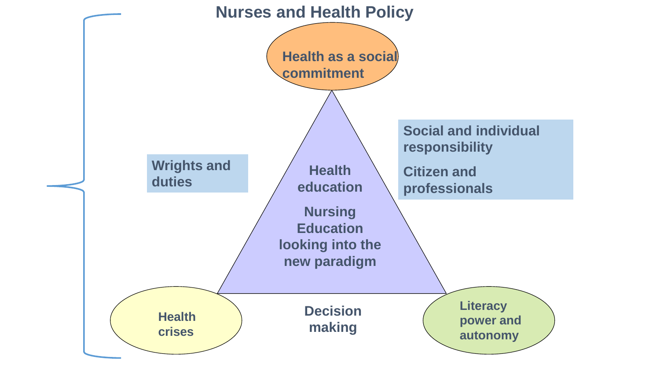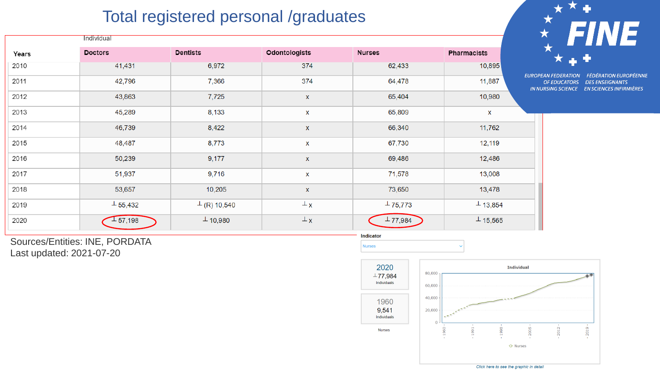# Total registered personal /graduates

|       | Individual     |                    |                      |                |                    |  |
|-------|----------------|--------------------|----------------------|----------------|--------------------|--|
| Years | <b>Doctors</b> | <b>Dentists</b>    | <b>Odontologists</b> | <b>Nurses</b>  | <b>Pharmacists</b> |  |
| 2010  | 41,431         | 6,972              | 374                  | 62,433         | 10,895             |  |
| 2011  | 42,796         | 7,366              | 374                  | 64,478         | 11,887             |  |
| 2012  | 43,863         | 7,725              | X                    | 65,404         | 10,980             |  |
| 2013  | 45,289         | 8,133              | X                    | 65,809         | X                  |  |
| 2014  | 46,739         | 8,422              | X                    | 66,340         | 11,762             |  |
| 2015  | 48,487         | 8,773              | X                    | 67,730         | 12,119             |  |
| 2016  | 50,239         | 9,177              | X                    | 69,486         | 12,486             |  |
| 2017  | 51,937         | 9,716              | X                    | 71,578         | 13,008             |  |
| 2018  | 53,657         | 10,205             | X                    | 73,650         | 13,478             |  |
| 2019  | $\pm$ 55,432   | $\perp$ (R) 10,540 | $\perp$ x            | $\perp$ 75,773 | $\perp$ 13,854     |  |
| 2020  | 1,57,198       | $\perp$ 10,980     | $\perp$ x            | $\perp$ 77,984 | $\perp$ 15,565     |  |



UROPEAN FEDERATION FÉDÉRATION EUROPÉENNE OF EDUCATORS DES ENSEIGNANTS IN NURSING SCIENCE EN SCIENCES INFIRMIÈRES

Sources/Entities: INE, PORDATA Last updated: 2021-07-20





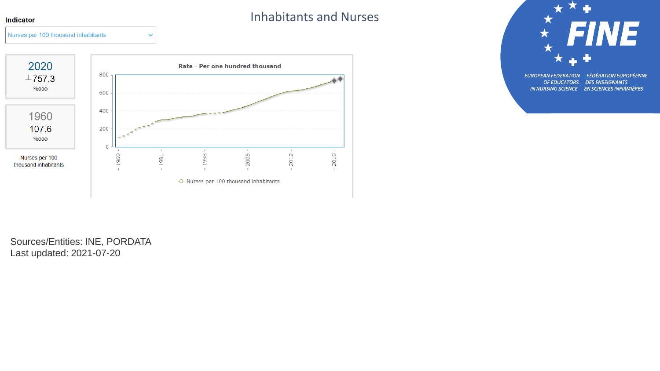#### Indicator

Nurses per 100 thousand inhabitants

#### Inhabitants and Nurses



 $\checkmark$ 

X ★ **FINE** EUROPEAN FEDERATION FÉDÉRATION EUROPÉENNE

OF EDUCATORS DES ENSEIGNANTS IN NURSING SCIENCE EN SCIENCES INFIRMIÈRES

Sources/Entities: INE, PORDATA Last updated: 2021-07-20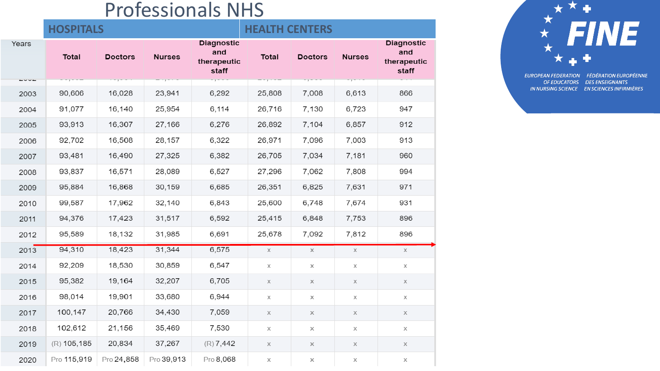# Professionals NHS

|                   | <b>HOSPITALS</b> |                |               | <b>HEALTH CENTERS</b>                            |        |                           |               |                                                  |
|-------------------|------------------|----------------|---------------|--------------------------------------------------|--------|---------------------------|---------------|--------------------------------------------------|
| Years<br>$-0.0 -$ | <b>Total</b>     | <b>Doctors</b> | <b>Nurses</b> | <b>Diagnostic</b><br>and<br>therapeutic<br>staff | Total  | <b>Doctors</b><br>$1 - 1$ | <b>Nurses</b> | <b>Diagnostic</b><br>and<br>therapeutic<br>staff |
| 2003              | 90,606           | 16,028         | 23,941        | 6,292                                            | 25,808 | 7,008                     | 6,613         | 866                                              |
| 2004              | 91,077           | 16,140         | 25,954        | 6,114                                            | 26,716 | 7,130                     | 6,723         | 947                                              |
| 2005              | 93,913           | 16,307         | 27,166        | 6,276                                            | 26,892 | 7,104                     | 6,857         | 912                                              |
| 2006              | 92,702           | 16,508         | 28,157        | 6,322                                            | 26,971 | 7,096                     | 7,003         | 913                                              |
| 2007              | 93,481           | 16,490         | 27,325        | 6,382                                            | 26,705 | 7,034                     | 7,181         | 960                                              |
| 2008              | 93,837           | 16,571         | 28,089        | 6,527                                            | 27,296 | 7,062                     | 7,808         | 994                                              |
| 2009              | 95,884           | 16,868         | 30,159        | 6,685                                            | 26,351 | 6,825                     | 7,631         | 971                                              |
| 2010              | 99,587           | 17,962         | 32,140        | 6,843                                            | 25,600 | 6,748                     | 7,674         | 931                                              |
| 2011              | 94,376           | 17,423         | 31,517        | 6,592                                            | 25,415 | 6,848                     | 7,753         | 896                                              |
| 2012              | 95,589           | 18,132         | 31,985        | 6,691                                            | 25,678 | 7,092                     | 7,812         | 896                                              |
| 2013              | 94,310           | 18,423         | 31,344        | 6,575                                            | X      | X                         | X             | X                                                |
| 2014              | 92,209           | 18,530         | 30,859        | 6,547                                            | χ      | Х                         | Χ             | χ                                                |
| 2015              | 95,382           | 19,164         | 32,207        | 6,705                                            | Χ      | X                         | Χ             | Χ                                                |
| 2016              | 98,014           | 19,901         | 33,680        | 6,944                                            | χ      | Χ                         | Χ             | Χ                                                |
| 2017              | 100,147          | 20,766         | 34,430        | 7,059                                            | Χ      | Χ                         | Χ             | Χ                                                |
| 2018              | 102,612          | 21,156         | 35,469        | 7,530                                            | Χ      | Х                         | Χ             | Χ                                                |
| 2019              | $(R)$ 105,185    | 20,834         | 37,267        | $(R)$ 7,442                                      | Χ      | Χ                         | Χ             | Χ                                                |
| 2020              | Pro 115,919      | Pro 24,858     | Pro 39,913    | Pro 8,068                                        | Χ      | Χ                         | Χ             | Χ                                                |



EUROPEAN FEDERATION FÉDÉRATION EUROPÉENNE OF EDUCATORS DES ENSEIGNANTS IN NURSING SCIENCE EN SCIENCES INFIRMIÈRES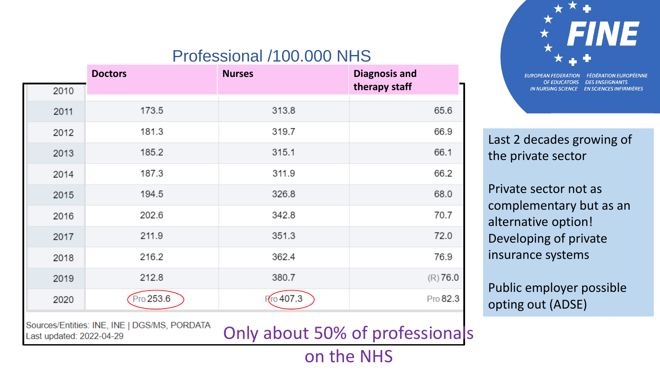# Professional /100.000 NHS

|      | <b>Doctors</b> | <b>Nurses</b> | <b>Diagnosis and</b> |
|------|----------------|---------------|----------------------|
| 2010 |                |               | therapy staff        |
| 2011 | 173.5          | 313.8         | 65.6                 |
| 2012 | 181.3          | 319.7         | 66.9                 |
| 2013 | 185.2          | 315.1         | 66.1                 |
| 2014 | 187.3          | 311.9         | 66.2                 |
| 2015 | 194.5          | 326.8         | 68.0                 |
| 2016 | 202.6          | 342.8         | 70.7                 |
| 2017 | 211.9          | 351.3         | 72.0                 |
| 2018 | 216.2          | 362.4         | 76.9                 |
| 2019 | 212.8          | 380.7         | $(R)$ 76.0           |
| 2020 | Pro 253.6      | Fro 407.3     | Pro 82.3             |
|      |                |               |                      |

Sources/Entities: INE, INE | DGS/MS, PORDATA Last updated: 2022-04-29

Only about 50% of professionals

on the NHS

INE 131

**FÉDÉRATION EUROPÉENNE EUROPEAN FEDERATION** OF EDUCATORS DES ENSEIGNANTS IN NURSING SCIENCE EN SCIENCES INFIRMIÈRES

Last 2 decades growing of the private sector

Private sector not as complementary but as an alternative option! Developing of private insurance systems

Public employer possible opting out (ADSE)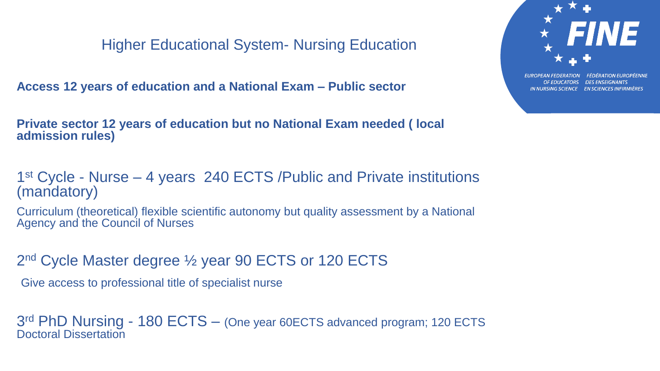Higher Educational System- Nursing Education

**Access 12 years of education and a National Exam – Public sector**

**Private sector 12 years of education but no National Exam needed ( local admission rules)**

1<sup>st</sup> Cycle - Nurse – 4 years 240 ECTS / Public and Private institutions (mandatory)

Curriculum (theoretical) flexible scientific autonomy but quality assessment by a National Agency and the Council of Nurses

2<sup>nd</sup> Cycle Master degree 1/2 year 90 ECTS or 120 ECTS

Give access to professional title of specialist nurse

3<sup>rd</sup> PhD Nursing - 180 ECTS - (One year 60ECTS advanced program; 120 ECTS Doctoral Dissertation

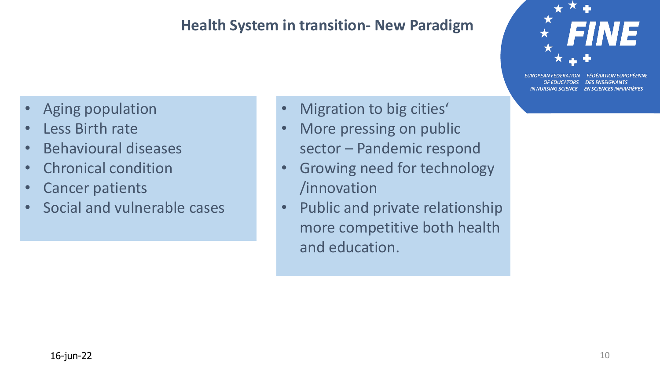### **Health System in transition- New Paradigm**



**FEDERATION EUROPEENNE DES ENSEIGNANTS OF EDUCATORS** IN NURSING SCIENCE EN SCIENCES INFIRMIÈRES

- Aging population
- Less Birth rate
- Behavioural diseases
- Chronical condition
- Cancer patients
- Social and vulnerable cases
- Migration to big cities'
- More pressing on public sector – Pandemic respond
- Growing need for technology /innovation
- Public and private relationship more competitive both health and education.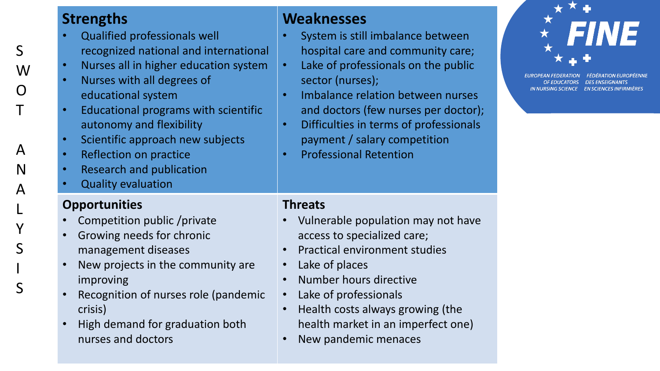|                                                                      | <b>Strengths</b>                                                                                                                                                                                                                                                                                                                                                                                                                      | <b>Weaknesses</b>                                                                                                                                                                                                                                                                                                                                                             |
|----------------------------------------------------------------------|---------------------------------------------------------------------------------------------------------------------------------------------------------------------------------------------------------------------------------------------------------------------------------------------------------------------------------------------------------------------------------------------------------------------------------------|-------------------------------------------------------------------------------------------------------------------------------------------------------------------------------------------------------------------------------------------------------------------------------------------------------------------------------------------------------------------------------|
| S<br>W<br>$\overline{O}$<br>$\overline{1}$<br>A<br>N<br>$\mathsf{A}$ | Qualified professionals well<br>recognized national and international<br>Nurses all in higher education system<br>$\bullet$<br>Nurses with all degrees of<br>educational system<br>Educational programs with scientific<br>$\bullet$<br>autonomy and flexibility<br>Scientific approach new subjects<br>$\bullet$<br>Reflection on practice<br>$\bullet$<br><b>Research and publication</b><br><b>Quality evaluation</b><br>$\bullet$ | System is still imbalance between<br>hospital care and community care;<br>Lake of professionals on the public<br>$\bullet$<br>sector (nurses);<br>Imbalance relation between nurses<br>$\bullet$<br>and doctors (few nurses per doctor);<br>Difficulties in terms of professionals<br>$\bullet$<br>payment / salary competition<br><b>Professional Retention</b><br>$\bullet$ |
| $\mathsf{L}$<br>Y<br>$\mathsf{S}$<br>$\mathsf{l}$<br>S               | <b>Opportunities</b><br>Competition public /private<br>Growing needs for chronic<br>$\bullet$<br>management diseases<br>New projects in the community are<br>improving<br>Recognition of nurses role (pandemic<br>$\bullet$<br>crisis)<br>High demand for graduation both<br>$\bullet$<br>nurses and doctors                                                                                                                          | <b>Threats</b><br>Vulnerable population may not have<br>access to specialized care;<br><b>Practical environment studies</b><br>Lake of places<br>Number hours directive<br>Lake of professionals<br>Health costs always growing (the<br>health market in an imperfect one)<br>New pandemic menaces                                                                            |

• New pandemic menaces

★ FINE

EUROPEAN FEDERATION FÉDÉRATION EUROPÉENNE OF EDUCATORS DES ENSEIGNANTS IN NURSING SCIENCE EN SCIENCES INFIRMIÈRES